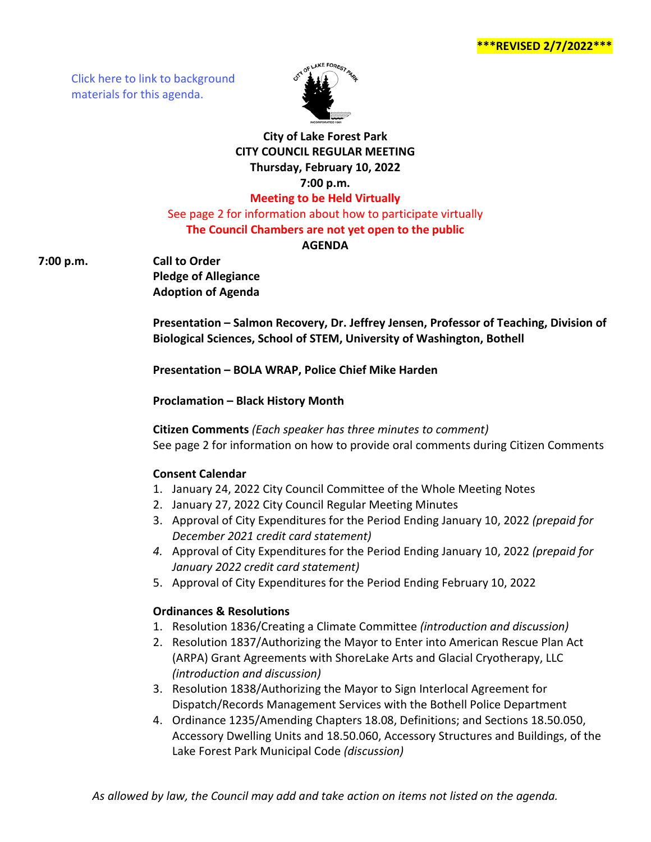[Click here to link to background](https://media.avcaptureall.cloud/meeting/96cb3307-bc9e-454a-80ad-6fccae44d895) materials for this agenda.



# **City of Lake Forest Park CITY COUNCIL REGULAR MEETING Thursday, February 10, 2022 7:00 p.m. Meeting to be Held Virtually**

See page 2 for information about how to participate virtually **The Council Chambers are not yet open to the public**

**AGENDA** 

**7:00 p.m. Call to Order**

**Pledge of Allegiance Adoption of Agenda**

**Presentation – Salmon Recovery, Dr. Jeffrey Jensen, Professor of Teaching, Division of Biological Sciences, School of STEM, University of Washington, Bothell**

**Presentation – BOLA WRAP, Police Chief Mike Harden**

**Proclamation – Black History Month**

**Citizen Comments** *(Each speaker has three minutes to comment)* See page 2 for information on how to provide oral comments during Citizen Comments

## **Consent Calendar**

- 1. January 24, 2022 City Council Committee of the Whole Meeting Notes
- 2. January 27, 2022 City Council Regular Meeting Minutes
- 3. Approval of City Expenditures for the Period Ending January 10, 2022 *(prepaid for December 2021 credit card statement)*
- *4.* Approval of City Expenditures for the Period Ending January 10, 2022 *(prepaid for January 2022 credit card statement)*
- 5. Approval of City Expenditures for the Period Ending February 10, 2022

## **Ordinances & Resolutions**

- 1. Resolution 1836/Creating a Climate Committee *(introduction and discussion)*
- 2. Resolution 1837/Authorizing the Mayor to Enter into American Rescue Plan Act (ARPA) Grant Agreements with ShoreLake Arts and Glacial Cryotherapy, LLC *(introduction and discussion)*
- 3. Resolution 1838/Authorizing the Mayor to Sign Interlocal Agreement for Dispatch/Records Management Services with the Bothell Police Department
- 4. Ordinance 1235/Amending Chapters 18.08, Definitions; and Sections 18.50.050, Accessory Dwelling Units and 18.50.060, Accessory Structures and Buildings, of the Lake Forest Park Municipal Code *(discussion)*

*As allowed by law, the Council may add and take action on items not listed on the agenda.*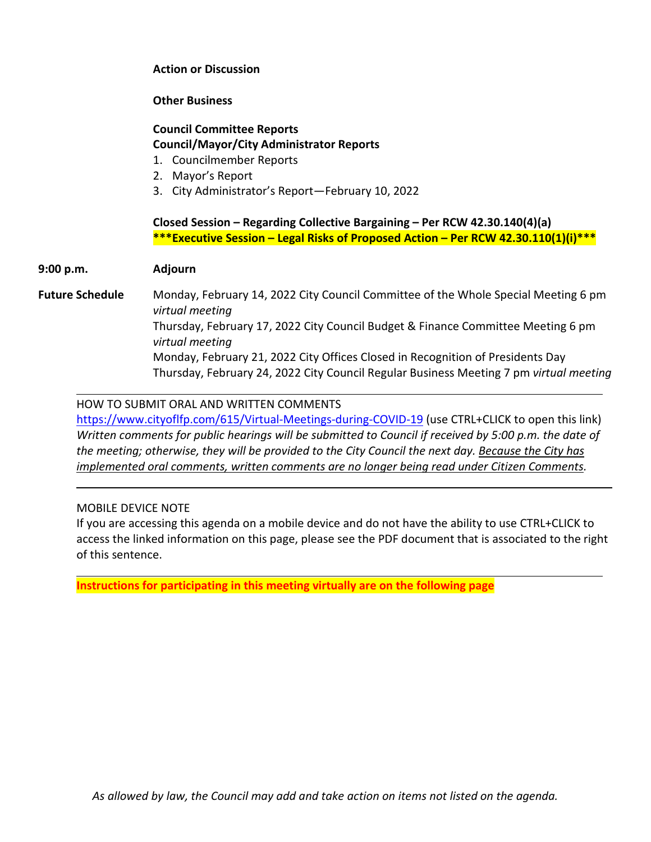#### **Action or Discussion**

#### **Other Business**

#### **Council Committee Reports Council/Mayor/City Administrator Reports**

- 1. Councilmember Reports
- 2. Mayor's Report
- 3. City Administrator's Report—February 10, 2022

## **Closed Session – Regarding Collective Bargaining – Per RCW 42.30.140(4)(a) \*\*\*Executive Session – Legal Risks of Proposed Action – Per RCW 42.30.110(1)(i)\*\*\***

#### **9:00 p.m. Adjourn**

**Future Schedule** Monday, February 14, 2022 City Council Committee of the Whole Special Meeting 6 pm *virtual meeting* Thursday, February 17, 2022 City Council Budget & Finance Committee Meeting 6 pm *virtual meeting* Monday, February 21, 2022 City Offices Closed in Recognition of Presidents Day Thursday, February 24, 2022 City Council Regular Business Meeting 7 pm *virtual meeting*

## HOW TO SUBMIT ORAL AND WRITTEN COMMENTS

<https://www.cityoflfp.com/615/Virtual-Meetings-during-COVID-19> (use CTRL+CLICK to open this link) *Written comments for public hearings will be submitted to Council if received by 5:00 p.m. the date of the meeting; otherwise, they will be provided to the City Council the next day. Because the City has implemented oral comments, written comments are no longer being read under Citizen Comments.*

### MOBILE DEVICE NOTE

If you are accessing this agenda on a mobile device and do not have the ability to use CTRL+CLICK to access the linked information on this page, please see the PDF document that is associated to the right of this sentence.

**Instructions for participating in this meeting virtually are on the following page**